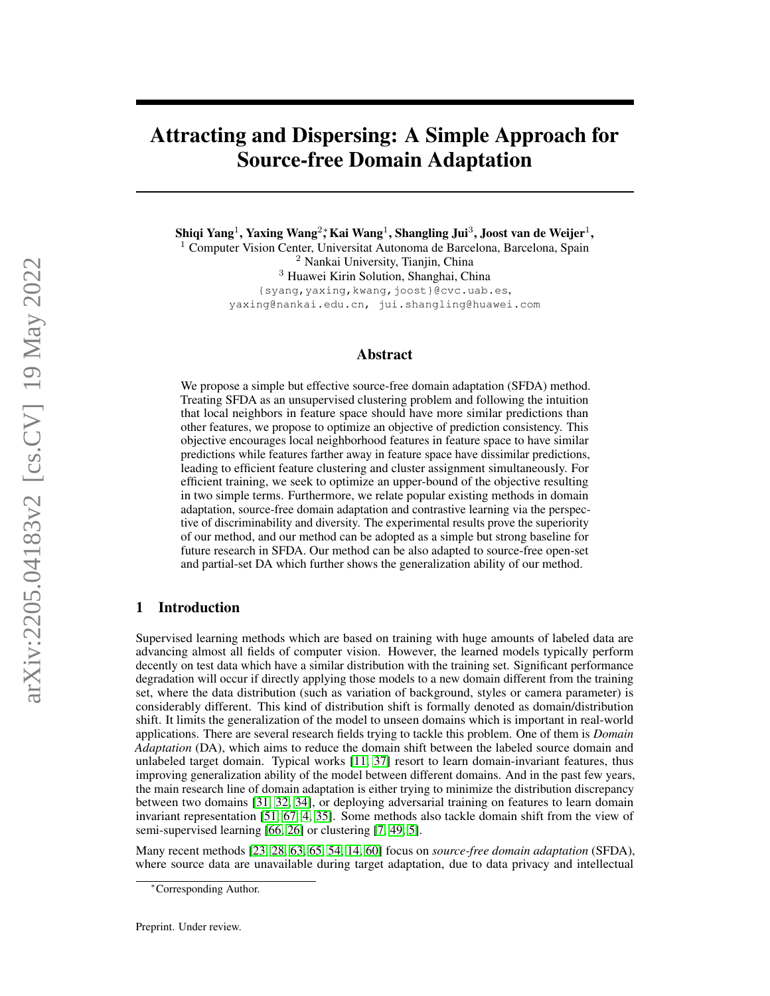# Attracting and Dispersing: A Simple Approach for Source-free Domain Adaptation

Shiqi Yang $^1$ , Yaxing Wang $^2$ ; Kai Wang $^1$ , Shangling Jui $^3$ , Joost van de Weijer $^1,$ <sup>1</sup> Computer Vision Center, Universitat Autonoma de Barcelona, Barcelona, Spain <sup>2</sup> Nankai University, Tianjin, China <sup>3</sup> Huawei Kirin Solution, Shanghai, China {syang,yaxing,kwang,joost}@cvc.uab.es, yaxing@nankai.edu.cn, jui.shangling@huawei.com

## Abstract

We propose a simple but effective source-free domain adaptation (SFDA) method. Treating SFDA as an unsupervised clustering problem and following the intuition that local neighbors in feature space should have more similar predictions than other features, we propose to optimize an objective of prediction consistency. This objective encourages local neighborhood features in feature space to have similar predictions while features farther away in feature space have dissimilar predictions, leading to efficient feature clustering and cluster assignment simultaneously. For efficient training, we seek to optimize an upper-bound of the objective resulting in two simple terms. Furthermore, we relate popular existing methods in domain adaptation, source-free domain adaptation and contrastive learning via the perspective of discriminability and diversity. The experimental results prove the superiority of our method, and our method can be adopted as a simple but strong baseline for future research in SFDA. Our method can be also adapted to source-free open-set and partial-set DA which further shows the generalization ability of our method.

# 1 Introduction

Supervised learning methods which are based on training with huge amounts of labeled data are advancing almost all fields of computer vision. However, the learned models typically perform decently on test data which have a similar distribution with the training set. Significant performance degradation will occur if directly applying those models to a new domain different from the training set, where the data distribution (such as variation of background, styles or camera parameter) is considerably different. This kind of distribution shift is formally denoted as domain/distribution shift. It limits the generalization of the model to unseen domains which is important in real-world applications. There are several research fields trying to tackle this problem. One of them is *Domain Adaptation* (DA), which aims to reduce the domain shift between the labeled source domain and unlabeled target domain. Typical works [\[11,](#page-9-0) [37\]](#page-10-0) resort to learn domain-invariant features, thus improving generalization ability of the model between different domains. And in the past few years, the main research line of domain adaptation is either trying to minimize the distribution discrepancy between two domains [\[31,](#page-10-1) [32,](#page-10-2) [34\]](#page-10-3), or deploying adversarial training on features to learn domain invariant representation [\[51,](#page-11-0) [67,](#page-12-0) [4,](#page-9-1) [35\]](#page-10-4). Some methods also tackle domain shift from the view of semi-supervised learning [\[66,](#page-12-1) [26\]](#page-10-5) or clustering [\[7,](#page-9-2) [49,](#page-11-1) [5\]](#page-9-3).

Many recent methods [\[23,](#page-10-6) [28,](#page-10-7) [63,](#page-11-2) [65,](#page-12-2) [54,](#page-11-3) [14,](#page-9-4) [60\]](#page-11-4) focus on *source-free domain adaptation* (SFDA), where source data are unavailable during target adaptation, due to data privacy and intellectual

<sup>∗</sup>Corresponding Author.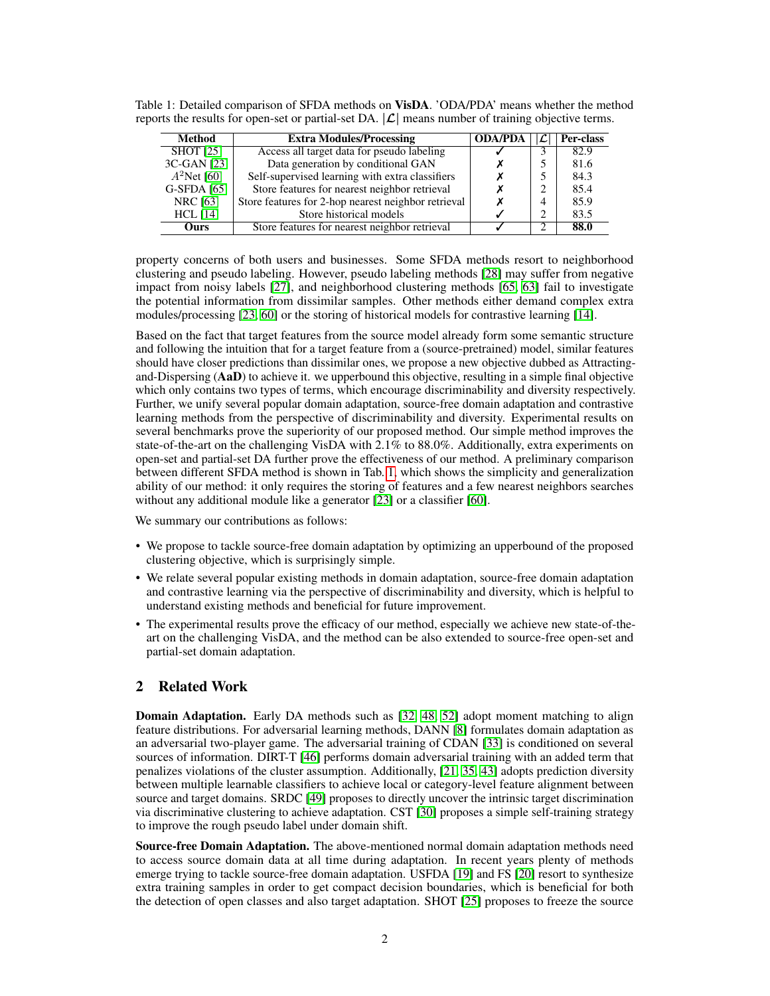| Method           | <b>Extra Modules/Processing</b>                     | <b>ODA/PDA</b> | Per-class |
|------------------|-----------------------------------------------------|----------------|-----------|
| <b>SHOT</b> [25] | Access all target data for pseudo labeling          |                | 82.9      |
| 3C-GAN [23]      | Data generation by conditional GAN                  |                | 81.6      |
| $A^2$ Net [60]   | Self-supervised learning with extra classifiers     |                | 84.3      |
| G-SFDA [65]      | Store features for nearest neighbor retrieval       |                | 85.4      |
| <b>NRC</b> [63]  | Store features for 2-hop nearest neighbor retrieval |                | 85.9      |
| $HCL$ [14]       | Store historical models                             |                | 83.5      |
| Ours             | Store features for nearest neighbor retrieval       |                | 88.0      |

<span id="page-1-0"></span>Table 1: Detailed comparison of SFDA methods on VisDA. 'ODA/PDA' means whether the method reports the results for open-set or partial-set DA.  $|\mathcal{L}|$  means number of training objective terms.

property concerns of both users and businesses. Some SFDA methods resort to neighborhood clustering and pseudo labeling. However, pseudo labeling methods [\[28\]](#page-10-7) may suffer from negative impact from noisy labels [\[27\]](#page-10-9), and neighborhood clustering methods [\[65,](#page-12-2) [63\]](#page-11-2) fail to investigate the potential information from dissimilar samples. Other methods either demand complex extra modules/processing [\[23,](#page-10-6) [60\]](#page-11-4) or the storing of historical models for contrastive learning [\[14\]](#page-9-4).

Based on the fact that target features from the source model already form some semantic structure and following the intuition that for a target feature from a (source-pretrained) model, similar features should have closer predictions than dissimilar ones, we propose a new objective dubbed as Attractingand-Dispersing (AaD) to achieve it. we upperbound this objective, resulting in a simple final objective which only contains two types of terms, which encourage discriminability and diversity respectively. Further, we unify several popular domain adaptation, source-free domain adaptation and contrastive learning methods from the perspective of discriminability and diversity. Experimental results on several benchmarks prove the superiority of our proposed method. Our simple method improves the state-of-the-art on the challenging VisDA with 2.1% to 88.0%. Additionally, extra experiments on open-set and partial-set DA further prove the effectiveness of our method. A preliminary comparison between different SFDA method is shown in Tab. [1,](#page-1-0) which shows the simplicity and generalization ability of our method: it only requires the storing of features and a few nearest neighbors searches without any additional module like a generator [\[23\]](#page-10-6) or a classifier [\[60\]](#page-11-4).

We summary our contributions as follows:

- We propose to tackle source-free domain adaptation by optimizing an upperbound of the proposed clustering objective, which is surprisingly simple.
- We relate several popular existing methods in domain adaptation, source-free domain adaptation and contrastive learning via the perspective of discriminability and diversity, which is helpful to understand existing methods and beneficial for future improvement.
- The experimental results prove the efficacy of our method, especially we achieve new state-of-theart on the challenging VisDA, and the method can be also extended to source-free open-set and partial-set domain adaptation.

## 2 Related Work

**Domain Adaptation.** Early DA methods such as [\[32,](#page-10-2) [48,](#page-11-5) [52\]](#page-11-6) adopt moment matching to align feature distributions. For adversarial learning methods, DANN [\[8\]](#page-9-5) formulates domain adaptation as an adversarial two-player game. The adversarial training of CDAN [\[33\]](#page-10-10) is conditioned on several sources of information. DIRT-T [\[46\]](#page-11-7) performs domain adversarial training with an added term that penalizes violations of the cluster assumption. Additionally, [\[21,](#page-10-11) [35,](#page-10-4) [43\]](#page-11-8) adopts prediction diversity between multiple learnable classifiers to achieve local or category-level feature alignment between source and target domains. SRDC [\[49\]](#page-11-1) proposes to directly uncover the intrinsic target discrimination via discriminative clustering to achieve adaptation. CST [\[30\]](#page-10-12) proposes a simple self-training strategy to improve the rough pseudo label under domain shift.

Source-free Domain Adaptation. The above-mentioned normal domain adaptation methods need to access source domain data at all time during adaptation. In recent years plenty of methods emerge trying to tackle source-free domain adaptation. USFDA [\[19\]](#page-10-13) and FS [\[20\]](#page-10-14) resort to synthesize extra training samples in order to get compact decision boundaries, which is beneficial for both the detection of open classes and also target adaptation. SHOT [\[25\]](#page-10-8) proposes to freeze the source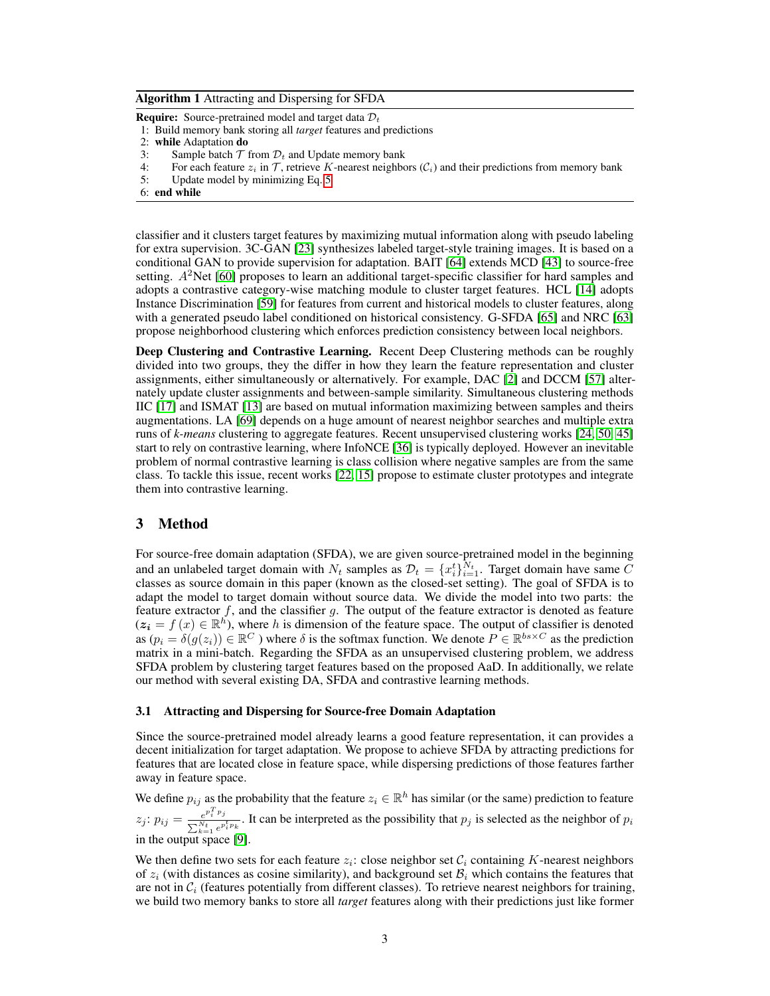#### <span id="page-2-0"></span>Algorithm 1 Attracting and Dispersing for SFDA

**Require:** Source-pretrained model and target data  $\mathcal{D}_t$ 

1: Build memory bank storing all *target* features and predictions

- 3: Sample batch  $\mathcal T$  from  $\mathcal D_t$  and Update memory bank<br>4: For each feature  $z_i$  in  $\mathcal T$ , retrieve K-nearest neighbor
- 4: For each feature  $z_i$  in  $\mathcal T$ , retrieve K-nearest neighbors  $(\mathcal C_i)$  and their predictions from memory bank 5: Update model by minimizing Eq. 5
- 5: Update model by minimizing Eq. [5](#page-4-0)

classifier and it clusters target features by maximizing mutual information along with pseudo labeling for extra supervision. 3C-GAN [\[23\]](#page-10-6) synthesizes labeled target-style training images. It is based on a conditional GAN to provide supervision for adaptation. BAIT [\[64\]](#page-12-3) extends MCD [\[43\]](#page-11-8) to source-free setting.  $A<sup>2</sup>$ Net [\[60\]](#page-11-4) proposes to learn an additional target-specific classifier for hard samples and adopts a contrastive category-wise matching module to cluster target features. HCL [\[14\]](#page-9-4) adopts Instance Discrimination [\[59\]](#page-11-9) for features from current and historical models to cluster features, along with a generated pseudo label conditioned on historical consistency. G-SFDA [\[65\]](#page-12-2) and NRC [\[63\]](#page-11-2) propose neighborhood clustering which enforces prediction consistency between local neighbors.

Deep Clustering and Contrastive Learning. Recent Deep Clustering methods can be roughly divided into two groups, they the differ in how they learn the feature representation and cluster assignments, either simultaneously or alternatively. For example, DAC [\[2\]](#page-9-6) and DCCM [\[57\]](#page-11-10) alternately update cluster assignments and between-sample similarity. Simultaneous clustering methods IIC [\[17\]](#page-9-7) and ISMAT [\[13\]](#page-9-8) are based on mutual information maximizing between samples and theirs augmentations. LA [\[69\]](#page-12-4) depends on a huge amount of nearest neighbor searches and multiple extra runs of *k-means* clustering to aggregate features. Recent unsupervised clustering works [\[24,](#page-10-15) [50,](#page-11-11) [45\]](#page-11-12) start to rely on contrastive learning, where InfoNCE [\[36\]](#page-10-16) is typically deployed. However an inevitable problem of normal contrastive learning is class collision where negative samples are from the same class. To tackle this issue, recent works [\[22,](#page-10-17) [15\]](#page-9-9) propose to estimate cluster prototypes and integrate them into contrastive learning.

## 3 Method

For source-free domain adaptation (SFDA), we are given source-pretrained model in the beginning and an unlabeled target domain with  $N_t$  samples as  $\mathcal{D}_t = \{x_i^t\}_{i=1}^{N_t}$ . Target domain have same C classes as source domain in this paper (known as the closed-set setting). The goal of SFDA is to adapt the model to target domain without source data. We divide the model into two parts: the feature extractor  $f$ , and the classifier  $g$ . The output of the feature extractor is denoted as feature  $(z_i = f(x) \in \mathbb{R}^n)$ , where h is dimension of the feature space. The output of classifier is denoted as  $(p_i = \delta(g(z_i)) \in \mathbb{R}^C$  ) where  $\delta$  is the softmax function. We denote  $P \in \mathbb{R}^{bs \times C}$  as the prediction matrix in a mini-batch. Regarding the SFDA as an unsupervised clustering problem, we address SFDA problem by clustering target features based on the proposed AaD. In additionally, we relate our method with several existing DA, SFDA and contrastive learning methods.

#### 3.1 Attracting and Dispersing for Source-free Domain Adaptation

Since the source-pretrained model already learns a good feature representation, it can provides a decent initialization for target adaptation. We propose to achieve SFDA by attracting predictions for features that are located close in feature space, while dispersing predictions of those features farther away in feature space.

We define  $p_{ij}$  as the probability that the feature  $z_i \in \mathbb{R}^h$  has similar (or the same) prediction to feature  $z_j: p_{ij} = \frac{e^{p_i^T p_j}}{\sum_{k=1}^{N_t} p_k^T}$  $\frac{e^{i}e^{i}e^{i}e^{i}}{\sum_{k=1}^{N_t}e^{p_i^tr_k}}$ . It can be interpreted as the possibility that  $p_j$  is selected as the neighbor of  $p_i$ in the output space [\[9\]](#page-9-10).

We then define two sets for each feature  $z_i$ : close neighbor set  $\mathcal{C}_i$  containing K-nearest neighbors of  $z_i$  (with distances as cosine similarity), and background set  $\mathcal{B}_i$  which contains the features that are not in  $C_i$  (features potentially from different classes). To retrieve nearest neighbors for training, we build two memory banks to store all *target* features along with their predictions just like former

<sup>2:</sup> while Adaptation do

<sup>6:</sup> end while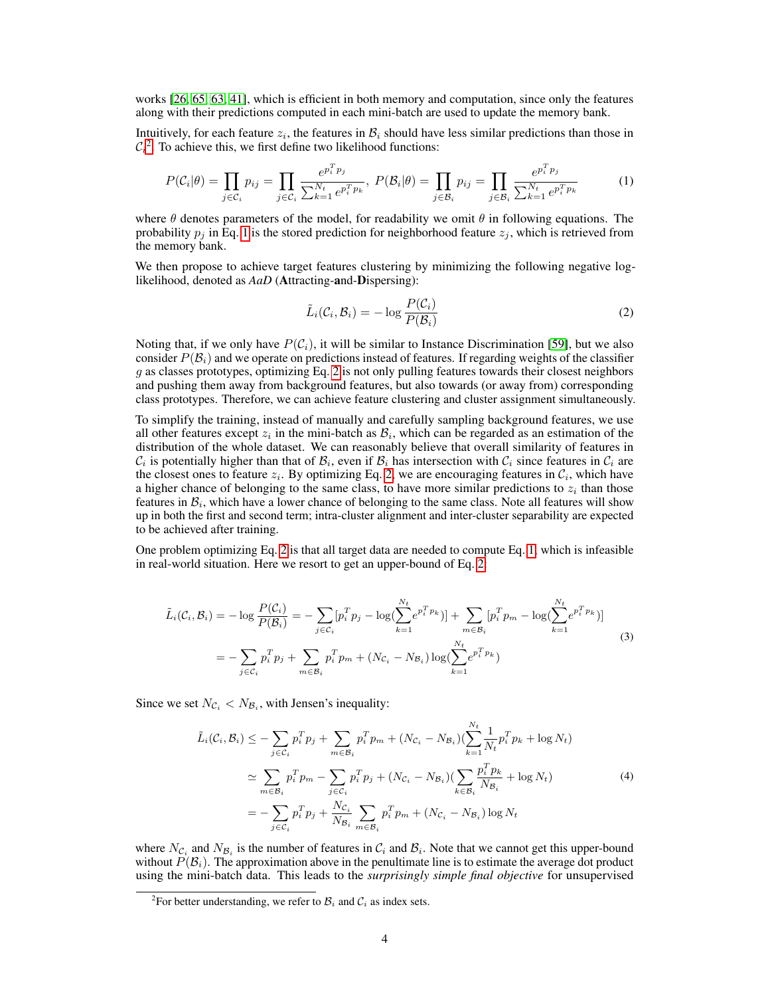works [\[26,](#page-10-5) [65,](#page-12-2) [63,](#page-11-2) [41\]](#page-11-13), which is efficient in both memory and computation, since only the features along with their predictions computed in each mini-batch are used to update the memory bank.

Intuitively, for each feature  $z_i$ , the features in  $B_i$  should have less similar predictions than those in  $C_i^2$  $C_i^2$ . To achieve this, we first define two likelihood functions:

<span id="page-3-1"></span>
$$
P(C_i|\theta) = \prod_{j \in C_i} p_{ij} = \prod_{j \in C_i} \frac{e^{p_i^T p_j}}{\sum_{k=1}^{N_t} e^{p_i^T p_k}}, \ P(\mathcal{B}_i|\theta) = \prod_{j \in \mathcal{B}_i} p_{ij} = \prod_{j \in \mathcal{B}_i} \frac{e^{p_i^T p_j}}{\sum_{k=1}^{N_t} e^{p_i^T p_k}}
$$
(1)

where  $\theta$  denotes parameters of the model, for readability we omit  $\theta$  in following equations. The probability  $p_i$  in Eq. [1](#page-3-1) is the stored prediction for neighborhood feature  $z_i$ , which is retrieved from the memory bank.

We then propose to achieve target features clustering by minimizing the following negative loglikelihood, denoted as *AaD* (Attracting-and-Dispersing):

<span id="page-3-2"></span>
$$
\tilde{L}_i(\mathcal{C}_i, \mathcal{B}_i) = -\log \frac{P(\mathcal{C}_i)}{P(\mathcal{B}_i)}
$$
\n(2)

Noting that, if we only have  $P(C_i)$ , it will be similar to Instance Discrimination [\[59\]](#page-11-9), but we also consider  $P(\mathcal{B}_i)$  and we operate on predictions instead of features. If regarding weights of the classifier  $g$  as classes prototypes, optimizing Eq. [2](#page-3-2) is not only pulling features towards their closest neighbors and pushing them away from background features, but also towards (or away from) corresponding class prototypes. Therefore, we can achieve feature clustering and cluster assignment simultaneously.

To simplify the training, instead of manually and carefully sampling background features, we use all other features except  $z_i$  in the mini-batch as  $B_i$ , which can be regarded as an estimation of the distribution of the whole dataset. We can reasonably believe that overall similarity of features in  $\mathcal{C}_i$  is potentially higher than that of  $\mathcal{B}_i$ , even if  $\mathcal{B}_i$  has intersection with  $\mathcal{C}_i$  since features in  $\mathcal{C}_i$  are the closest ones to feature  $z_i$ . By optimizing Eq. [2,](#page-3-2) we are encouraging features in  $\mathcal{C}_i$ , which have a higher chance of belonging to the same class, to have more similar predictions to  $z_i$  than those features in  $B_i$ , which have a lower chance of belonging to the same class. Note all features will show up in both the first and second term; intra-cluster alignment and inter-cluster separability are expected to be achieved after training.

One problem optimizing Eq. [2](#page-3-2) is that all target data are needed to compute Eq. [1,](#page-3-1) which is infeasible in real-world situation. Here we resort to get an upper-bound of Eq. [2:](#page-3-2)

$$
\tilde{L}_{i}(C_{i}, \mathcal{B}_{i}) = -\log \frac{P(C_{i})}{P(\mathcal{B}_{i})} = -\sum_{j \in C_{i}} [p_{i}^{T} p_{j} - \log(\sum_{k=1}^{N_{t}} e^{p_{i}^{T} p_{k}})] + \sum_{m \in \mathcal{B}_{i}} [p_{i}^{T} p_{m} - \log(\sum_{k=1}^{N_{t}} e^{p_{i}^{T} p_{k}})]
$$
\n
$$
= -\sum_{j \in C_{i}} p_{i}^{T} p_{j} + \sum_{m \in \mathcal{B}_{i}} p_{i}^{T} p_{m} + (N_{C_{i}} - N_{B_{i}}) \log(\sum_{k=1}^{N_{t}} e^{p_{i}^{T} p_{k}})
$$
\n(3)

Since we set  $N_{\mathcal{C}_i} < N_{\mathcal{B}_i}$ , with Jensen's inequality:

<span id="page-3-4"></span><span id="page-3-3"></span>
$$
\tilde{L}_{i}(C_{i}, B_{i}) \leq -\sum_{j \in C_{i}} p_{i}^{T} p_{j} + \sum_{m \in B_{i}} p_{i}^{T} p_{m} + (N_{C_{i}} - N_{B_{i}}) (\sum_{k=1}^{N_{t}} \frac{1}{N_{t}} p_{i}^{T} p_{k} + \log N_{t})
$$
\n
$$
\approx \sum_{m \in B_{i}} p_{i}^{T} p_{m} - \sum_{j \in C_{i}} p_{i}^{T} p_{j} + (N_{C_{i}} - N_{B_{i}}) (\sum_{k \in B_{i}} \frac{p_{i}^{T} p_{k}}{N_{B_{i}}} + \log N_{t})
$$
\n
$$
= -\sum_{j \in C_{i}} p_{i}^{T} p_{j} + \frac{N_{C_{i}}}{N_{B_{i}}} \sum_{m \in B_{i}} p_{i}^{T} p_{m} + (N_{C_{i}} - N_{B_{i}}) \log N_{t}
$$
\n(4)

where  $N_{\mathcal{C}_i}$  and  $N_{\mathcal{B}_i}$  is the number of features in  $\mathcal{C}_i$  and  $\mathcal{B}_i$ . Note that we cannot get this upper-bound without  $P(\mathcal{B}_i)$ . The approximation above in the penultimate line is to estimate the average dot product using the mini-batch data. This leads to the *surprisingly simple final objective* for unsupervised

<span id="page-3-0"></span><sup>&</sup>lt;sup>2</sup>For better understanding, we refer to  $B_i$  and  $C_i$  as index sets.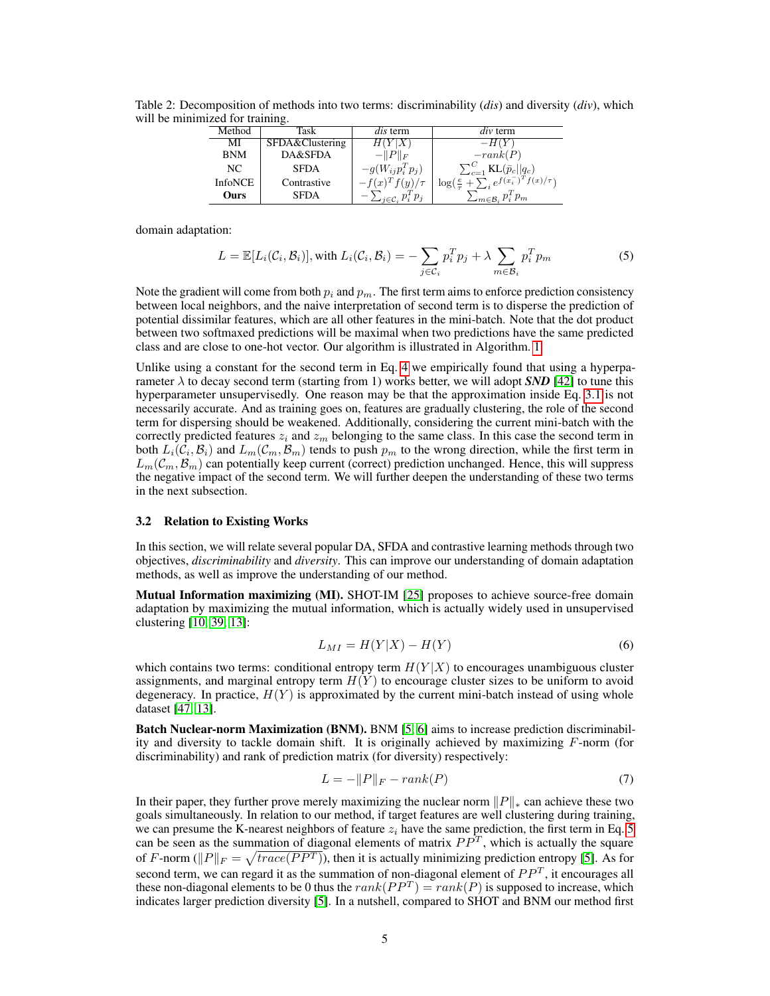| Method         | Task            | <i>dis</i> term              | $div$ term                                                    |
|----------------|-----------------|------------------------------|---------------------------------------------------------------|
| MI             | SFDA&Clustering | H(Y X)                       | $-H(Y)$                                                       |
| <b>BNM</b>     | DA&SFDA         | $-\ P\ _F$                   | $-rank(P)$                                                    |
| NC             | <b>SFDA</b>     | $-g(W_{ij}p_i^Tp_j)$         | $\sum_{c=1}^{C}$ KL $(\bar{p}_c  q_c)$                        |
| <b>InfoNCE</b> | Contrastive     | $-f(x)^T f(y)/\tau$          | $\log(\frac{e}{\tau} + \sum_i e^{f(x_i - \tau)} f(x_i/\tau))$ |
| Ours           | <b>SFDA</b>     | $\sum_{i \in C_i} p_i^T p_i$ | $\sum_{m \in \mathcal{B}_i} p_i^T p_m$                        |

<span id="page-4-1"></span>Table 2: Decomposition of methods into two terms: discriminability (*dis*) and diversity (*div*), which will be minimized for training.

domain adaptation:

<span id="page-4-0"></span>
$$
L = \mathbb{E}[L_i(\mathcal{C}_i, \mathcal{B}_i)], \text{ with } L_i(\mathcal{C}_i, \mathcal{B}_i) = -\sum_{j \in \mathcal{C}_i} p_i^T p_j + \lambda \sum_{m \in \mathcal{B}_i} p_i^T p_m \tag{5}
$$

Note the gradient will come from both  $p_i$  and  $p_m$ . The first term aims to enforce prediction consistency between local neighbors, and the naive interpretation of second term is to disperse the prediction of potential dissimilar features, which are all other features in the mini-batch. Note that the dot product between two softmaxed predictions will be maximal when two predictions have the same predicted class and are close to one-hot vector. Our algorithm is illustrated in Algorithm. [1.](#page-2-0)

Unlike using a constant for the second term in Eq. [4](#page-3-3) we empirically found that using a hyperparameter  $\lambda$  to decay second term (starting from 1) works better, we will adopt *SND* [\[42\]](#page-11-14) to tune this hyperparameter unsupervisedly. One reason may be that the approximation inside Eq. [3.1](#page-3-4) is not necessarily accurate. And as training goes on, features are gradually clustering, the role of the second term for dispersing should be weakened. Additionally, considering the current mini-batch with the correctly predicted features  $z_i$  and  $z_m$  belonging to the same class. In this case the second term in both  $L_i(C_i, B_i)$  and  $L_m(C_m, B_m)$  tends to push  $p_m$  to the wrong direction, while the first term in  $L_m(\mathcal{C}_m, \mathcal{B}_m)$  can potentially keep current (correct) prediction unchanged. Hence, this will suppress the negative impact of the second term. We will further deepen the understanding of these two terms in the next subsection.

#### <span id="page-4-2"></span>3.2 Relation to Existing Works

In this section, we will relate several popular DA, SFDA and contrastive learning methods through two objectives, *discriminability* and *diversity*. This can improve our understanding of domain adaptation methods, as well as improve the understanding of our method.

Mutual Information maximizing (MI). SHOT-IM [\[25\]](#page-10-8) proposes to achieve source-free domain adaptation by maximizing the mutual information, which is actually widely used in unsupervised clustering [\[10,](#page-9-11) [39,](#page-10-18) [13\]](#page-9-8):

$$
L_{MI} = H(Y|X) - H(Y) \tag{6}
$$

which contains two terms: conditional entropy term  $H(Y|X)$  to encourages unambiguous cluster assignments, and marginal entropy term  $H(Y)$  to encourage cluster sizes to be uniform to avoid degeneracy. In practice,  $H(Y)$  is approximated by the current mini-batch instead of using whole dataset [\[47,](#page-11-15) [13\]](#page-9-8).

Batch Nuclear-norm Maximization (BNM). BNM [\[5,](#page-9-3) [6\]](#page-9-12) aims to increase prediction discriminability and diversity to tackle domain shift. It is originally achieved by maximizing F-norm (for discriminability) and rank of prediction matrix (for diversity) respectively:

$$
L = -\|P\|_F - rank(P) \tag{7}
$$

In their paper, they further prove merely maximizing the nuclear norm  $||P||_*$  can achieve these two goals simultaneously. In relation to our method, if target features are well clustering during training, we can presume the K-nearest neighbors of feature  $z_i$  have the same prediction, the first term in Eq. [5](#page-4-0) can be seen as the summation of diagonal elements of matrix  $PP^{T}$ , which is actually the square of F-norm ( $||P||_F = \sqrt{trace(PP^T)}$ ), then it is actually minimizing prediction entropy [\[5\]](#page-9-3). As for second term, we can regard it as the summation of non-diagonal element of  $PP<sup>T</sup>$ , it encourages all these non-diagonal elements to be 0 thus the  $rank(PP^T) = rank(P)$  is supposed to increase, which indicates larger prediction diversity [\[5\]](#page-9-3). In a nutshell, compared to SHOT and BNM our method first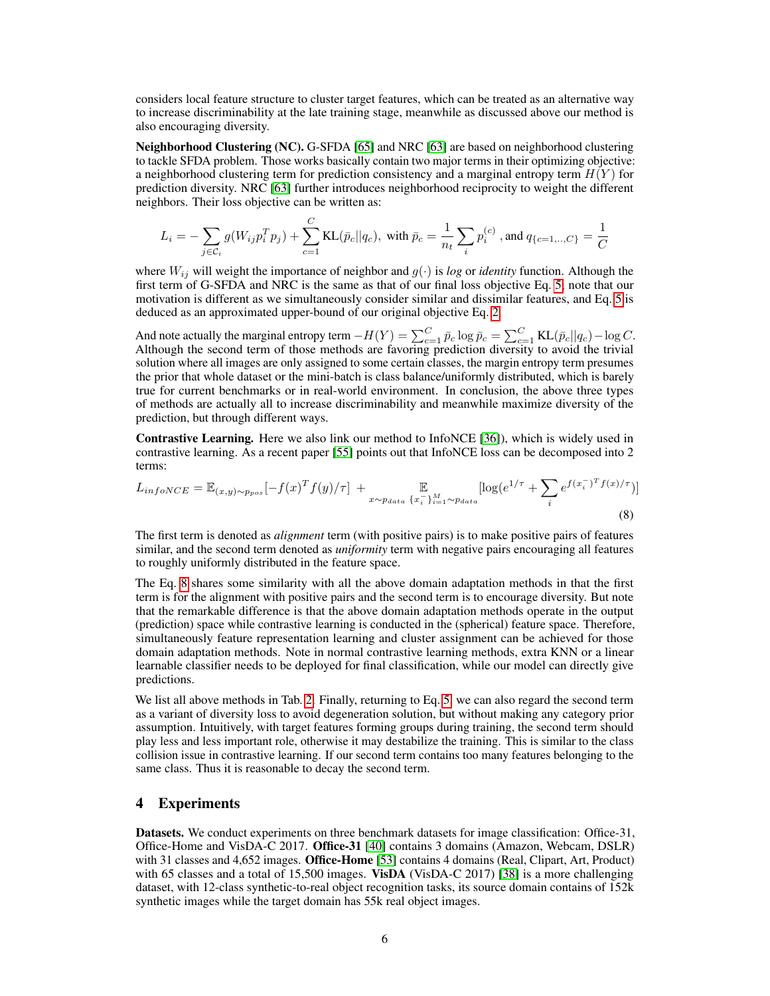considers local feature structure to cluster target features, which can be treated as an alternative way to increase discriminability at the late training stage, meanwhile as discussed above our method is also encouraging diversity.

Neighborhood Clustering (NC). G-SFDA [\[65\]](#page-12-2) and NRC [\[63\]](#page-11-2) are based on neighborhood clustering to tackle SFDA problem. Those works basically contain two major terms in their optimizing objective: a neighborhood clustering term for prediction consistency and a marginal entropy term  $H(Y)$  for prediction diversity. NRC [\[63\]](#page-11-2) further introduces neighborhood reciprocity to weight the different neighbors. Their loss objective can be written as:

$$
L_i = -\sum_{j \in C_i} g(W_{ij} p_i^T p_j) + \sum_{c=1}^C \text{KL}(\bar{p}_c || q_c), \text{ with } \bar{p}_c = \frac{1}{n_t} \sum_i p_i^{(c)}, \text{ and } q_{\{c=1,..,C\}} = \frac{1}{C}
$$

where  $W_{ij}$  will weight the importance of neighbor and  $g(\cdot)$  is *log* or *identity* function. Although the first term of G-SFDA and NRC is the same as that of our final loss objective Eq. [5,](#page-4-0) note that our motivation is different as we simultaneously consider similar and dissimilar features, and Eq. [5](#page-4-0) is deduced as an approximated upper-bound of our original objective Eq. [2.](#page-3-2)

And note actually the marginal entropy term  $-H(Y) = \sum_{c=1}^{C} \bar{p}_c \log \bar{p}_c = \sum_{c=1}^{C} \text{KL}(\bar{p}_c || q_c) - \log C$ . Although the second term of those methods are favoring prediction diversity to avoid the trivial solution where all images are only assigned to some certain classes, the margin entropy term presumes the prior that whole dataset or the mini-batch is class balance/uniformly distributed, which is barely true for current benchmarks or in real-world environment. In conclusion, the above three types of methods are actually all to increase discriminability and meanwhile maximize diversity of the prediction, but through different ways.

Contrastive Learning. Here we also link our method to InfoNCE [\[36\]](#page-10-16)), which is widely used in contrastive learning. As a recent paper [\[55\]](#page-11-16) points out that InfoNCE loss can be decomposed into 2 terms:

<span id="page-5-0"></span>
$$
L_{infoNCE} = \mathbb{E}_{(x,y)\sim p_{pos}}[-f(x)^T f(y)/\tau] + \mathbb{E}_{x\sim p_{data}\{x_i^-\}_{i=1}^M \sim p_{data}}[\log(e^{1/\tau} + \sum_i e^{f(x_i^-\tau)} f(x)/\tau)]
$$
\n(8)

The first term is denoted as *alignment* term (with positive pairs) is to make positive pairs of features similar, and the second term denoted as *uniformity* term with negative pairs encouraging all features to roughly uniformly distributed in the feature space.

The Eq. [8](#page-5-0) shares some similarity with all the above domain adaptation methods in that the first term is for the alignment with positive pairs and the second term is to encourage diversity. But note that the remarkable difference is that the above domain adaptation methods operate in the output (prediction) space while contrastive learning is conducted in the (spherical) feature space. Therefore, simultaneously feature representation learning and cluster assignment can be achieved for those domain adaptation methods. Note in normal contrastive learning methods, extra KNN or a linear learnable classifier needs to be deployed for final classification, while our model can directly give predictions.

We list all above methods in Tab. [2.](#page-4-1) Finally, returning to Eq. [5,](#page-4-0) we can also regard the second term as a variant of diversity loss to avoid degeneration solution, but without making any category prior assumption. Intuitively, with target features forming groups during training, the second term should play less and less important role, otherwise it may destabilize the training. This is similar to the class collision issue in contrastive learning. If our second term contains too many features belonging to the same class. Thus it is reasonable to decay the second term.

## 4 Experiments

Datasets. We conduct experiments on three benchmark datasets for image classification: Office-31, Office-Home and VisDA-C 2017. Office-31 [\[40\]](#page-10-19) contains 3 domains (Amazon, Webcam, DSLR) with 31 classes and 4,652 images. Office-Home [\[53\]](#page-11-17) contains 4 domains (Real, Clipart, Art, Product) with 65 classes and a total of 15,500 images. VisDA (VisDA-C 2017) [\[38\]](#page-10-20) is a more challenging dataset, with 12-class synthetic-to-real object recognition tasks, its source domain contains of 152k synthetic images while the target domain has 55k real object images.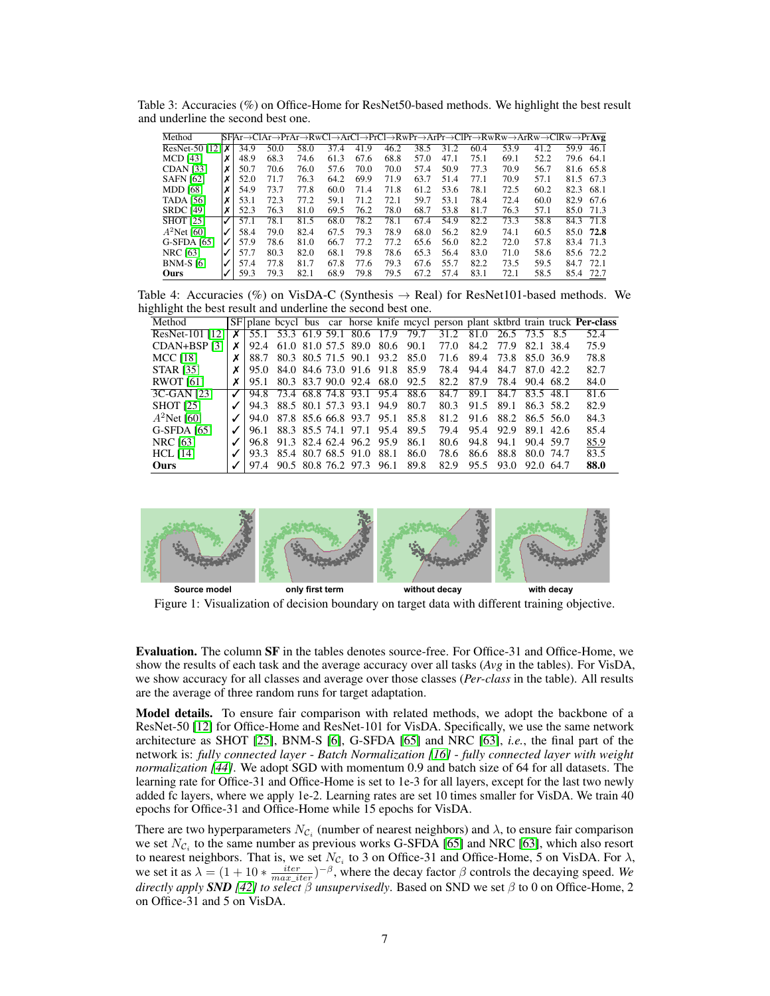<span id="page-6-0"></span>Table 3: Accuracies (%) on Office-Home for ResNet50-based methods. We highlight the best result and underline the second best one.

| Method                  |   |      |      |      |      |      |      |      |      |      | SF Ar→ClAr→PrAr→RwCl→ArCl→PrCl→RwPr→ArPr→ClPr→RwRw→ArRw→ClRw→Pr <b>Avg</b> |      |      |           |
|-------------------------|---|------|------|------|------|------|------|------|------|------|----------------------------------------------------------------------------|------|------|-----------|
| ResNet-50 [12] $\times$ |   | 34.9 | 50.0 | 58.0 | 37.4 | 41.9 | 46.2 | 38.5 | 31.2 | 60.4 | 53.9                                                                       | 41.2 | 59.9 | 46.1      |
| <b>MCD</b> [43]         | х | 48.9 | 68.3 | 74.6 | 61.3 | 67.6 | 68.8 | 57.0 | 47.1 | 75.1 | 69.1                                                                       | 52.2 | 79.6 | 64.1      |
| <b>CDAN</b> [33]        |   | 50.7 | 70.6 | 76.0 | 57.6 | 70.0 | 70.0 | 57.4 | 50.9 | 77.3 | 70.9                                                                       | 56.7 | 81.6 | 65.8      |
| <b>SAFN [62]</b>        | х | 52.0 | 71.7 | 76.3 | 64.2 | 69.9 | 71.9 | 63.7 | 51.4 | 77.1 | 70.9                                                                       | 57.1 |      | 81.5 67.3 |
| <b>MDD</b> [68]         | х | 54.9 | 73.7 | 77.8 | 60.0 | 71.4 | 71.8 | 61.2 | 53.6 | 78.1 | 72.5                                                                       | 60.2 | 82.3 | -68.1     |
| <b>TADA</b> [56]        |   | 53.1 | 72.3 | 77.2 | 59.1 | 71.2 | 72.1 | 59.7 | 53.1 | 78.4 | 72.4                                                                       | 60.0 | 82.9 | -67.6     |
| <b>SRDC</b> [49]        |   | 52.3 | 76.3 | 81.0 | 69.5 | 76.2 | 78.0 | 68.7 | 53.8 | 81.7 | 76.3                                                                       | 57.1 | 85.0 | 71.3      |
| <b>SHOT</b> [25]        | ✓ | 57.1 | 78.1 | 81.5 | 68.0 | 78.2 | 78.1 | 67.4 | 54.9 | 82.2 | 73.3                                                                       | 58.8 | 84.3 | 71.8      |
| $A^2$ Net [60]          |   | 58.4 | 79.0 | 82.4 | 67.5 | 79.3 | 78.9 | 68.0 | 56.2 | 82.9 | 74.1                                                                       | 60.5 | 85.0 | 72.8      |
| G-SFDA [65]             |   | 57.9 | 78.6 | 81.0 | 66.7 | 77.2 | 77.2 | 65.6 | 56.0 | 82.2 | 72.0                                                                       | 57.8 | 83.4 | 71.3      |
| <b>NRC</b> [63]         |   | 57.7 | 80.3 | 82.0 | 68.1 | 79.8 | 78.6 | 65.3 | 56.4 | 83.0 | 71.0                                                                       | 58.6 | 85.6 | 72.2      |
| <b>BNM-S</b> [6]        |   | 57.4 | 77.8 | 81.7 | 67.8 | 77.6 | 79.3 | 67.6 | 55.7 | 82.2 | 73.5                                                                       | 59.5 | 84.7 | 72.1      |
| Ours                    |   | 59.3 | 79.3 | 82.1 | 68.9 | 79.8 | 79.5 | 67.2 | 57.4 | 83.1 | 72.1                                                                       | 58.5 | 85.4 | 72.7      |

Table 4: Accuracies (%) on VisDA-C (Synthesis  $\rightarrow$  Real) for ResNet101-based methods. We highlight the best result and underline the second best one.

| Method           |   |      |                                    |  |                               |       |      |           |      |                    |           |           | SF plane beyel bus car horse knife meyel person plant sktbrd train truck <b>Per-class</b> |
|------------------|---|------|------------------------------------|--|-------------------------------|-------|------|-----------|------|--------------------|-----------|-----------|-------------------------------------------------------------------------------------------|
| ResNet-101 [12]  | x |      | 55.1 53.3 61.9 59.1 80.6 17.9 79.7 |  |                               |       |      | 31.2      |      | 81.0 26.5 73.5 8.5 |           |           | 52.4                                                                                      |
| CDAN+BSP [3]     | х |      | 92.4 61.0 81.0 57.5 89.0 80.6 90.1 |  |                               |       |      | 77.O      | 84.2 | 77.9               |           | 82.1 38.4 | 75.9                                                                                      |
| <b>MCC</b> [18]  | Х |      | 88.7 80.3 80.5 71.5 90.1 93.2 85.0 |  |                               |       |      | 71.6 89.4 |      | 73.8 85.0 36.9     |           |           | 78.8                                                                                      |
| <b>STAR [35]</b> |   |      | 95.0 84.0 84.6 73.0 91.6 91.8 85.9 |  |                               |       |      | 78.4      | 94.4 | 84.7 87.0 42.2     |           |           | 82.7                                                                                      |
| <b>RWOT</b> [61] |   | 95.1 |                                    |  | 80.3 83.7 90.0 92.4 68.0 92.5 |       |      | 82.2      | 87.9 | 78.4               | 90.4 68.2 |           | 84.0                                                                                      |
| 3C-GAN [23]      |   |      | 94.8 73.4 68.8 74.8 93.1 95.4 88.6 |  |                               |       |      | 84.7      | 89.1 | 84.7 83.5 48.1     |           |           | 81.6                                                                                      |
| <b>SHOT</b> [25] |   | 94.3 |                                    |  | 88.5 80.1 57.3 93.1 94.9      |       | 80.7 | 80.3      | 91.5 | 89.1               |           | 86.3 58.2 | 82.9                                                                                      |
| $A^2$ Net [60]   |   | 94.0 |                                    |  | 87.8 85.6 66.8 93.7 95.1      |       | 85.8 | 81.2      | 91.6 | 88.2 86.5 56.0     |           |           | 84.3                                                                                      |
| G-SFDA [65]      |   | 96.1 |                                    |  | 88.3 85.5 74.1 97.1 95.4      |       | 89.5 | 79.4      | 95.4 | 92.9 89.1 42.6     |           |           | 85.4                                                                                      |
| <b>NRC</b> [63]  |   |      | 96.8 91.3 82.4 62.4 96.2 95.9      |  |                               |       | 86.1 | 80.6      | 94.8 | 94.1               | 90.4 59.7 |           | 85.9                                                                                      |
| $HCL$ [14]       |   |      | 93.3 85.4 80.7 68.5 91.0           |  |                               | -88.1 | 86.0 | 78.6      | 86.6 | 88.8               | 80.0 74.7 |           | 83.5                                                                                      |
| <b>Ours</b>      |   |      | 97.4 90.5 80.8 76.2 97.3 96.1      |  |                               |       | 89.8 | 82.9      | 95.5 | 93.0               | 92.0 64.7 |           | 88.0                                                                                      |

<span id="page-6-1"></span>

Figure 1: Visualization of decision boundary on target data with different training objective.

Evaluation. The column SF in the tables denotes source-free. For Office-31 and Office-Home, we show the results of each task and the average accuracy over all tasks (*Avg* in the tables). For VisDA, we show accuracy for all classes and average over those classes (*Per-class* in the table). All results are the average of three random runs for target adaptation.

Model details. To ensure fair comparison with related methods, we adopt the backbone of a ResNet-50 [\[12\]](#page-9-13) for Office-Home and ResNet-101 for VisDA. Specifically, we use the same network architecture as SHOT [\[25\]](#page-10-8), BNM-S [\[6\]](#page-9-12), G-SFDA [\[65\]](#page-12-2) and NRC [\[63\]](#page-11-2), *i.e.*, the final part of the network is: *fully connected layer* - *Batch Normalization [\[16\]](#page-9-15)* - *fully connected layer with weight normalization [\[44\]](#page-11-21)*. We adopt SGD with momentum 0.9 and batch size of 64 for all datasets. The learning rate for Office-31 and Office-Home is set to 1e-3 for all layers, except for the last two newly added fc layers, where we apply 1e-2. Learning rates are set 10 times smaller for VisDA. We train 40 epochs for Office-31 and Office-Home while 15 epochs for VisDA.

There are two hyperparameters  $N_{\mathcal{C}_i}$  (number of nearest neighbors) and  $\lambda$ , to ensure fair comparison we set  $N_{\mathcal{C}_i}$  to the same number as previous works G-SFDA [\[65\]](#page-12-2) and NRC [\[63\]](#page-11-2), which also resort to nearest neighbors. That is, we set  $N_{\mathcal{C}_i}$  to 3 on Office-31 and Office-Home, 5 on VisDA. For  $\lambda$ , we set it as  $\lambda = (1 + 10 * \frac{iter}{max\_iter})^{-\beta}$ , where the decay factor  $\beta$  controls the decaying speed. We *directly apply SND [\[42\]](#page-11-14) to select* β *unsupervisedly*. Based on SND we set β to 0 on Office-Home, 2 on Office-31 and 5 on VisDA.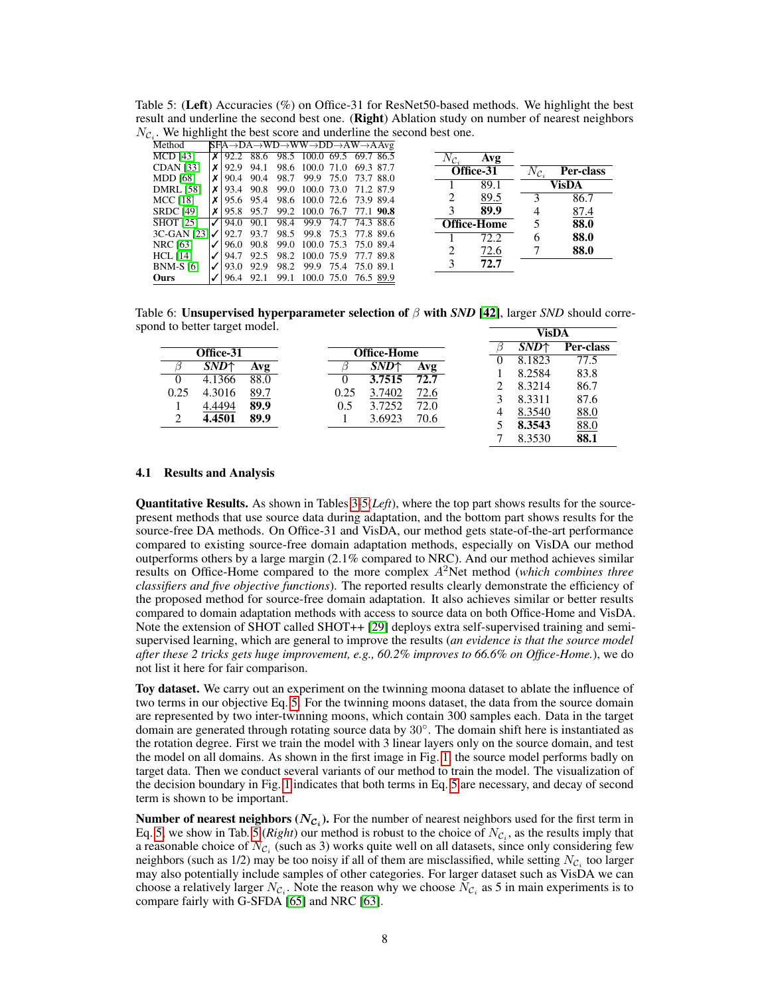<span id="page-7-0"></span>

| Table 5: (Left) Accuracies (%) on Office-31 for ResNet50-based methods. We highlight the best   |  |
|-------------------------------------------------------------------------------------------------|--|
| result and underline the second best one. (Right) Ablation study on number of nearest neighbors |  |
| $N_{\mathcal{C}_d}$ . We highlight the best score and underline the second best one.            |  |

| Method                     |                  |      |           | $SFA \rightarrow DA \rightarrow WD \rightarrow WW \rightarrow DD \rightarrow AW \rightarrow AAvg$ |                |  |                     |             |                     |           |
|----------------------------|------------------|------|-----------|---------------------------------------------------------------------------------------------------|----------------|--|---------------------|-------------|---------------------|-----------|
| <b>MCD</b> [43]            | $\boldsymbol{x}$ |      |           | 92.2 88.6 98.5 100.0 69.5 69.7 86.5                                                               |                |  | $N_{\mathcal{C}_i}$ | Avg         |                     |           |
| <b>CDAN</b> [33]           | X.               |      | 92.9 94.1 | 98.6 100.0 71.0 69.3 87.7                                                                         |                |  |                     | Office-31   | $N_{\mathcal{C}_i}$ | Per-class |
| <b>MDD</b> [68]            |                  | 90.4 | 90.4      | 98.7 99.9 75.0 73.7 88.0                                                                          |                |  |                     |             |                     |           |
| <b>DMRL</b> [58]           | x <sub>1</sub>   | 93.4 | 90.8      | 99.0 100.0 73.0 71.2 87.9                                                                         |                |  |                     | 89.1        |                     | VisDA     |
| <b>MCC</b> [18]            |                  |      |           | 95.6 95.4 98.6 100.0 72.6 73.9 89.4                                                               |                |  | 2                   | 89.5        | 3                   | 86.7      |
| <b>SRDC</b> [49]           | $\boldsymbol{x}$ |      | 95.8 95.7 | 99.2 100.0 76.7 77.1 90.8                                                                         |                |  | 3                   | 89.9        | 4                   | 87.4      |
| <b>SHOT</b> [25]           |                  | 94.0 | 90.1      | 98.4 99.9                                                                                         | 74.7 74.3 88.6 |  |                     | Office-Home | 5                   | 88.0      |
| $3C-GAN$ [23] $\checkmark$ |                  |      | 92.7 93.7 | 98.5 99.8 75.3 77.8 89.6                                                                          |                |  |                     | 72.2        | 6                   | 88.0      |
| <b>NRC</b> [63]            | $\sqrt{}$        |      |           | 96.0 90.8 99.0 100.0 75.3 75.0 89.4                                                               |                |  |                     |             |                     |           |
| $HCL$ [14]                 | $\sqrt{}$        |      | 94.7 92.5 | 98.2 100.0 75.9 77.7 89.8                                                                         |                |  | 2                   | 72.6        |                     | 88.0      |
| <b>BNM-S</b> [6]           |                  | 93.0 | 92.9      | 98.2 99.9 75.4 75.0 89.1                                                                          |                |  | 3                   | 72.7        |                     |           |
| <b>Ours</b>                |                  |      | 96.4 92.1 | 99.1 100.0 75.0 76.5 89.9                                                                         |                |  |                     |             |                     |           |

<span id="page-7-1"></span>Table 6: Unsupervised hyperparameter selection of β with *SND* [\[42\]](#page-11-14), larger *SND* should correspond to better target model. VisDA

|      |           |      |      |                    |      | .                |           |
|------|-----------|------|------|--------------------|------|------------------|-----------|
|      | Office-31 |      |      | <b>Office-Home</b> |      | SND <sup>+</sup> | Per-class |
|      | $SND^+$   | Avg  |      | $SND+$             | Avg  | 8.1823           | 77.5      |
|      | 4.1366    | 88.0 |      | 3.7515             | 72.7 | 8.2584           | 83.8      |
| 0.25 | 4.3016    | 89.7 | 0.25 | 3.7402             | 72.6 | 8.3214           | 86.7      |
|      | 4.4494    | 89.9 | 0.5  | 3.7252             | 72.0 | 8.3311           | 87.6      |
|      | 4.4501    | 89.9 |      | 3.6923             | 70.6 | 8.3540           | 88.0      |
|      |           |      |      |                    |      | 8.3543           | 88.0      |
|      |           |      |      |                    |      | 8.3530           | 88.1      |

#### 4.1 Results and Analysis

Quantitative Results. As shown in Tables [3-](#page-6-0)[5\(](#page-7-0)*Left*), where the top part shows results for the sourcepresent methods that use source data during adaptation, and the bottom part shows results for the source-free DA methods. On Office-31 and VisDA, our method gets state-of-the-art performance compared to existing source-free domain adaptation methods, especially on VisDA our method outperforms others by a large margin (2.1% compared to NRC). And our method achieves similar results on Office-Home compared to the more complex A<sup>2</sup>Net method (*which combines three classifiers and five objective functions*). The reported results clearly demonstrate the efficiency of the proposed method for source-free domain adaptation. It also achieves similar or better results compared to domain adaptation methods with access to source data on both Office-Home and VisDA. Note the extension of SHOT called SHOT++ [\[29\]](#page-10-22) deploys extra self-supervised training and semisupervised learning, which are general to improve the results (*an evidence is that the source model after these 2 tricks gets huge improvement, e.g., 60.2% improves to 66.6% on Office-Home.*), we do not list it here for fair comparison.

Toy dataset. We carry out an experiment on the twinning moona dataset to ablate the influence of two terms in our objective Eq. [5.](#page-4-0) For the twinning moons dataset, the data from the source domain are represented by two inter-twinning moons, which contain 300 samples each. Data in the target domain are generated through rotating source data by 30◦ . The domain shift here is instantiated as the rotation degree. First we train the model with 3 linear layers only on the source domain, and test the model on all domains. As shown in the first image in Fig. [1,](#page-6-1) the source model performs badly on target data. Then we conduct several variants of our method to train the model. The visualization of the decision boundary in Fig. [1](#page-6-1) indicates that both terms in Eq. [5](#page-4-0) are necessary, and decay of second term is shown to be important.

**Number of nearest neighbors**  $(N_{\mathcal{C}_i})$ . For the number of nearest neighbors used for the first term in Eq. [5,](#page-4-0) we show in Tab. [5](#page-7-0) (*Right*) our method is robust to the choice of  $N_{\mathcal{C}_i}$ , as the results imply that a reasonable choice of  $N_{\mathcal{C}_i}$  (such as 3) works quite well on all datasets, since only considering few neighbors (such as 1/2) may be too noisy if all of them are misclassified, while setting  $N_{\mathcal{C}_i}$  too larger may also potentially include samples of other categories. For larger dataset such as VisDA we can choose a relatively larger  $N_{\mathcal{C}_i}$ . Note the reason why we choose  $N_{\mathcal{C}_i}$  as 5 in main experiments is to compare fairly with G-SFDA [\[65\]](#page-12-2) and NRC [\[63\]](#page-11-2).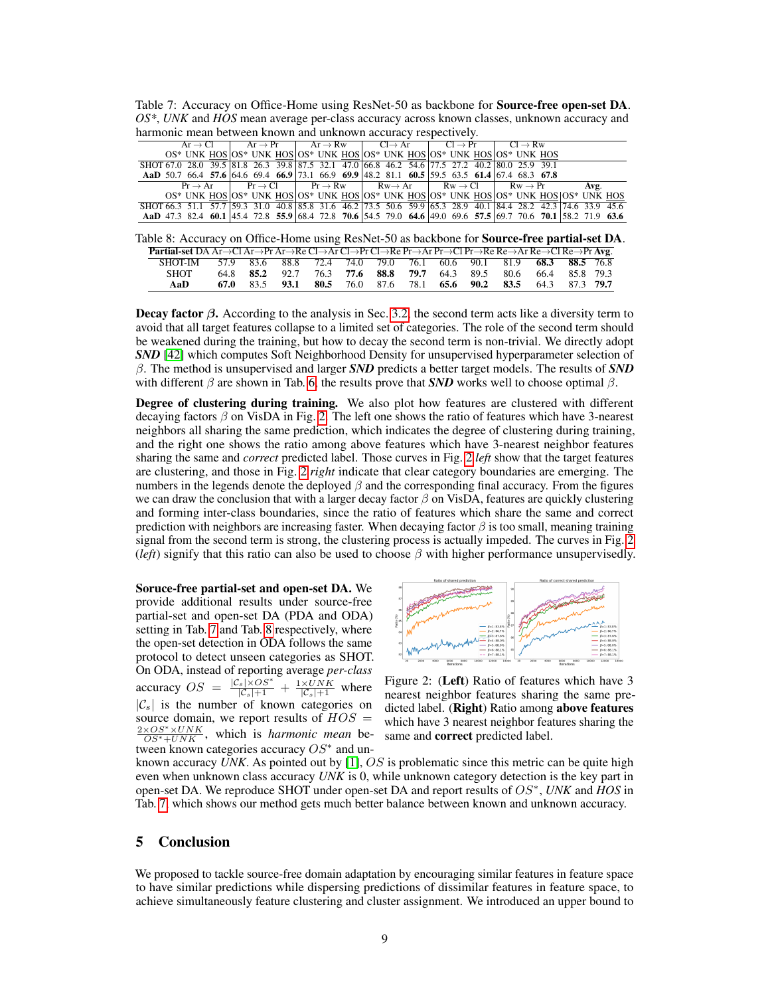<span id="page-8-1"></span>Table 7: Accuracy on Office-Home using ResNet-50 as backbone for Source-free open-set DA. *OS\**, *UNK* and *HOS* mean average per-class accuracy across known classes, unknown accuracy and harmonic mean between known and unknown accuracy respectively.

|                                                                                                               |  |  |  | $Ar \rightarrow Cl$   $Ar \rightarrow Pr$   $Ar \rightarrow Rw$   $Cl \rightarrow Ar$   $Cl \rightarrow Pr$   $Cl \rightarrow Rw$ |                                                                                                                         |                                                                                                 |  |  |  |  |  |  |      |  |  |  |
|---------------------------------------------------------------------------------------------------------------|--|--|--|-----------------------------------------------------------------------------------------------------------------------------------|-------------------------------------------------------------------------------------------------------------------------|-------------------------------------------------------------------------------------------------|--|--|--|--|--|--|------|--|--|--|
|                                                                                                               |  |  |  |                                                                                                                                   |                                                                                                                         | $OS^*$ UNK HOS $OS^*$ UNK HOS $OS^*$ UNK HOS $OS^*$ UNK HOS $OS^*$ UNK HOS $OS^*$ UNK HOS       |  |  |  |  |  |  |      |  |  |  |
| SHOT 67.0 28.0 39.5 81.8 26.3 39.8 87.5 32.1 47.0 66.8 46.2 54.6 77.5 27.2 40.2 80.0 25.9 39.1                |  |  |  |                                                                                                                                   |                                                                                                                         |                                                                                                 |  |  |  |  |  |  |      |  |  |  |
| AaD 50.7 66.4 57.6 64.6 69.4 66.9 73.1 66.9 69.9 48.2 81.1 60.5 59.5 63.5 61.4 67.4 68.3 67.8                 |  |  |  |                                                                                                                                   |                                                                                                                         |                                                                                                 |  |  |  |  |  |  |      |  |  |  |
|                                                                                                               |  |  |  |                                                                                                                                   | $Pr \rightarrow Ar$ $Pr \rightarrow Cl$ $Pr \rightarrow RW$ $Rw \rightarrow Ar$ $Rw \rightarrow Cl$ $Rw \rightarrow Pr$ |                                                                                                 |  |  |  |  |  |  | Avg. |  |  |  |
|                                                                                                               |  |  |  |                                                                                                                                   |                                                                                                                         | OS* UNK HOS OS* UNK HOS OS* UNK HOS OS* UNK HOS OS* UNK HOS OS* UNK HOS OS* UNK HOS OS* UNK HOS |  |  |  |  |  |  |      |  |  |  |
| SHOT 66.3 51.1 57.7 59.3 31.0 40.8 85.8 31.6 46.2 73.5 50.6 59.9 65.3 28.9 40.1 84.4 28.2 42.3 74.6 33.9 45.6 |  |  |  |                                                                                                                                   |                                                                                                                         |                                                                                                 |  |  |  |  |  |  |      |  |  |  |
| AaD 47.3 82.4 60.1 45.4 72.8 55.9 68.4 72.8 70.6 54.5 79.0 64.6 49.0 69.6 57.5 69.7 70.6 70.1 58.2 71.9 63.6  |  |  |  |                                                                                                                                   |                                                                                                                         |                                                                                                 |  |  |  |  |  |  |      |  |  |  |

Table 8: Accuracy on Office-Home using ResNet-50 as backbone for Source-free partial-set DA.

| <b>Partial-set</b> DA Ar $\rightarrow$ Cl Ar $\rightarrow$ Pr Ar $\rightarrow$ Re Cl $\rightarrow$ Ar Cl $\rightarrow$ Pr Cl $\rightarrow$ Re Pr $\rightarrow$ Ar Pr $\rightarrow$ Cl Pr $\rightarrow$ Re Re $\rightarrow$ Ar Re $\rightarrow$ Cl Re $\rightarrow$ Pr $\rightarrow$ Reg. |  |  |  |  |                                                                  |  |  |
|------------------------------------------------------------------------------------------------------------------------------------------------------------------------------------------------------------------------------------------------------------------------------------------|--|--|--|--|------------------------------------------------------------------|--|--|
| SHOT-IM 57.9 83.6 88.8 72.4 74.0 79.0 76.1 60.6 90.1 81.9 68.3 88.5 76.8                                                                                                                                                                                                                 |  |  |  |  |                                                                  |  |  |
| <b>SHOT</b>                                                                                                                                                                                                                                                                              |  |  |  |  | 64.8 85.2 92.7 76.3 77.6 88.8 79.7 64.3 89.5 80.6 66.4 85.8 79.3 |  |  |
| AaD                                                                                                                                                                                                                                                                                      |  |  |  |  | 67.0 83.5 93.1 80.5 76.0 87.6 78.1 65.6 90.2 83.5 64.3 87.3 79.7 |  |  |

**Decay factor**  $\beta$ **.** According to the analysis in Sec. [3.2,](#page-4-2) the second term acts like a diversity term to avoid that all target features collapse to a limited set of categories. The role of the second term should be weakened during the training, but how to decay the second term is non-trivial. We directly adopt *SND* [\[42\]](#page-11-14) which computes Soft Neighborhood Density for unsupervised hyperparameter selection of β. The method is unsupervised and larger *SND* predicts a better target models. The results of *SND* with different  $\beta$  are shown in Tab. [6,](#page-7-1) the results prove that **SND** works well to choose optimal  $\beta$ .

Degree of clustering during training. We also plot how features are clustered with different decaying factors  $\beta$  on VisDA in Fig. [2.](#page-8-0) The left one shows the ratio of features which have 3-nearest neighbors all sharing the same prediction, which indicates the degree of clustering during training, and the right one shows the ratio among above features which have 3-nearest neighbor features sharing the same and *correct* predicted label. Those curves in Fig. [2](#page-8-0) *left* show that the target features are clustering, and those in Fig. [2](#page-8-0) *right* indicate that clear category boundaries are emerging. The numbers in the legends denote the deployed  $\beta$  and the corresponding final accuracy. From the figures we can draw the conclusion that with a larger decay factor  $\beta$  on VisDA, features are quickly clustering and forming inter-class boundaries, since the ratio of features which share the same and correct prediction with neighbors are increasing faster. When decaying factor  $\beta$  is too small, meaning training signal from the second term is strong, the clustering process is actually impeded. The curves in Fig. [2](#page-8-0) (*left*) signify that this ratio can also be used to choose  $\beta$  with higher performance unsupervisedly.

Soruce-free partial-set and open-set DA. We provide additional results under source-free partial-set and open-set DA (PDA and ODA) setting in Tab. [7](#page-8-1) and Tab. [8](#page-8-1) respectively, where the open-set detection in ODA follows the same protocol to detect unseen categories as SHOT. On ODA, instead of reporting average *per-class* accuracy  $OS = \frac{|\mathcal{C}_s|\times OS^*}{|\mathcal{C}_s|+1} + \frac{1\times UNK}{|\mathcal{C}_s|+1}$  where  $|\mathcal{C}_s|$  is the number of known categories on source domain, we report results of  $HOS =$  $\frac{2 \times OS^* \times UNK}{OS^* + UNK}$ , which is *harmonic mean* between known categories accuracy  $OS^*$  and un-

<span id="page-8-0"></span>

Figure 2: (Left) Ratio of features which have 3 nearest neighbor features sharing the same predicted label. (Right) Ratio among above features which have 3 nearest neighbor features sharing the same and correct predicted label.

known accuracy *UNK*. As pointed out by [\[1\]](#page-9-16), OS is problematic since this metric can be quite high even when unknown class accuracy *UNK* is 0, while unknown category detection is the key part in open-set DA. We reproduce SHOT under open-set DA and report results of OS<sup>∗</sup> , *UNK* and *HOS* in Tab. [7,](#page-8-1) which shows our method gets much better balance between known and unknown accuracy.

## 5 Conclusion

We proposed to tackle source-free domain adaptation by encouraging similar features in feature space to have similar predictions while dispersing predictions of dissimilar features in feature space, to achieve simultaneously feature clustering and cluster assignment. We introduced an upper bound to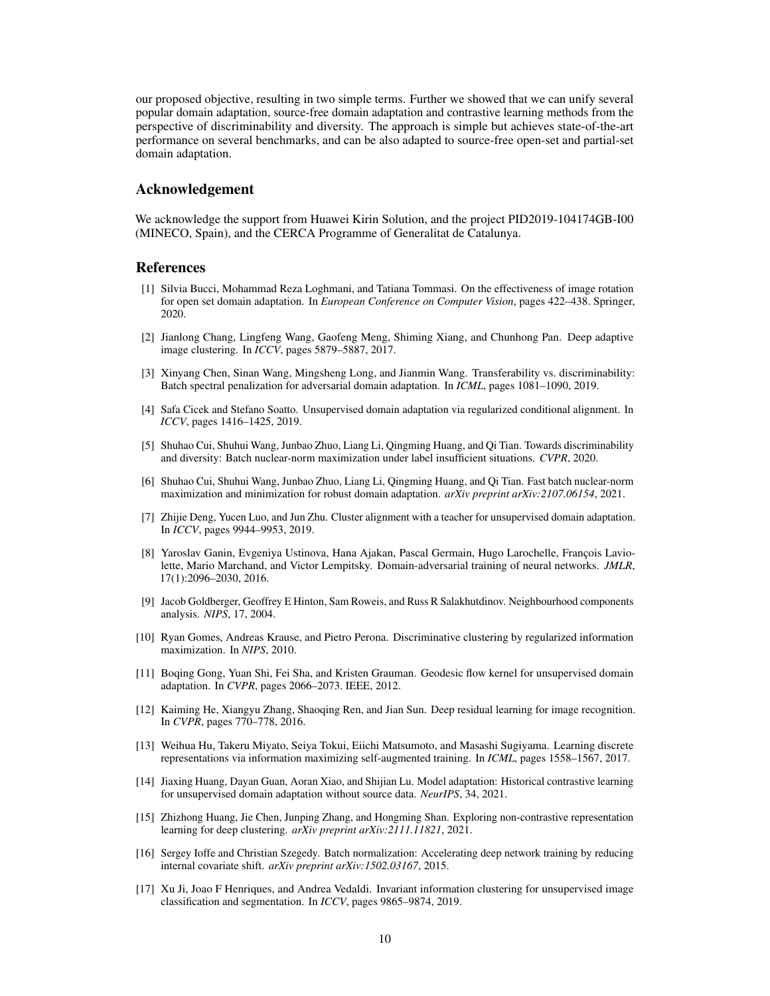our proposed objective, resulting in two simple terms. Further we showed that we can unify several popular domain adaptation, source-free domain adaptation and contrastive learning methods from the perspective of discriminability and diversity. The approach is simple but achieves state-of-the-art performance on several benchmarks, and can be also adapted to source-free open-set and partial-set domain adaptation.

## Acknowledgement

We acknowledge the support from Huawei Kirin Solution, and the project PID2019-104174GB-I00 (MINECO, Spain), and the CERCA Programme of Generalitat de Catalunya.

#### References

- <span id="page-9-16"></span>[1] Silvia Bucci, Mohammad Reza Loghmani, and Tatiana Tommasi. On the effectiveness of image rotation for open set domain adaptation. In *European Conference on Computer Vision*, pages 422–438. Springer, 2020.
- <span id="page-9-6"></span>[2] Jianlong Chang, Lingfeng Wang, Gaofeng Meng, Shiming Xiang, and Chunhong Pan. Deep adaptive image clustering. In *ICCV*, pages 5879–5887, 2017.
- <span id="page-9-14"></span>[3] Xinyang Chen, Sinan Wang, Mingsheng Long, and Jianmin Wang. Transferability vs. discriminability: Batch spectral penalization for adversarial domain adaptation. In *ICML*, pages 1081–1090, 2019.
- <span id="page-9-1"></span>[4] Safa Cicek and Stefano Soatto. Unsupervised domain adaptation via regularized conditional alignment. In *ICCV*, pages 1416–1425, 2019.
- <span id="page-9-3"></span>[5] Shuhao Cui, Shuhui Wang, Junbao Zhuo, Liang Li, Qingming Huang, and Qi Tian. Towards discriminability and diversity: Batch nuclear-norm maximization under label insufficient situations. *CVPR*, 2020.
- <span id="page-9-12"></span>[6] Shuhao Cui, Shuhui Wang, Junbao Zhuo, Liang Li, Qingming Huang, and Qi Tian. Fast batch nuclear-norm maximization and minimization for robust domain adaptation. *arXiv preprint arXiv:2107.06154*, 2021.
- <span id="page-9-2"></span>[7] Zhijie Deng, Yucen Luo, and Jun Zhu. Cluster alignment with a teacher for unsupervised domain adaptation. In *ICCV*, pages 9944–9953, 2019.
- <span id="page-9-5"></span>[8] Yaroslav Ganin, Evgeniya Ustinova, Hana Ajakan, Pascal Germain, Hugo Larochelle, François Laviolette, Mario Marchand, and Victor Lempitsky. Domain-adversarial training of neural networks. *JMLR*, 17(1):2096–2030, 2016.
- <span id="page-9-10"></span>[9] Jacob Goldberger, Geoffrey E Hinton, Sam Roweis, and Russ R Salakhutdinov. Neighbourhood components analysis. *NIPS*, 17, 2004.
- <span id="page-9-11"></span>[10] Ryan Gomes, Andreas Krause, and Pietro Perona. Discriminative clustering by regularized information maximization. In *NIPS*, 2010.
- <span id="page-9-0"></span>[11] Boqing Gong, Yuan Shi, Fei Sha, and Kristen Grauman. Geodesic flow kernel for unsupervised domain adaptation. In *CVPR*, pages 2066–2073. IEEE, 2012.
- <span id="page-9-13"></span>[12] Kaiming He, Xiangyu Zhang, Shaoqing Ren, and Jian Sun. Deep residual learning for image recognition. In *CVPR*, pages 770–778, 2016.
- <span id="page-9-8"></span>[13] Weihua Hu, Takeru Miyato, Seiya Tokui, Eiichi Matsumoto, and Masashi Sugiyama. Learning discrete representations via information maximizing self-augmented training. In *ICML*, pages 1558–1567, 2017.
- <span id="page-9-4"></span>[14] Jiaxing Huang, Dayan Guan, Aoran Xiao, and Shijian Lu. Model adaptation: Historical contrastive learning for unsupervised domain adaptation without source data. *NeurIPS*, 34, 2021.
- <span id="page-9-9"></span>[15] Zhizhong Huang, Jie Chen, Junping Zhang, and Hongming Shan. Exploring non-contrastive representation learning for deep clustering. *arXiv preprint arXiv:2111.11821*, 2021.
- <span id="page-9-15"></span>[16] Sergey Ioffe and Christian Szegedy. Batch normalization: Accelerating deep network training by reducing internal covariate shift. *arXiv preprint arXiv:1502.03167*, 2015.
- <span id="page-9-7"></span>[17] Xu Ji, Joao F Henriques, and Andrea Vedaldi. Invariant information clustering for unsupervised image classification and segmentation. In *ICCV*, pages 9865–9874, 2019.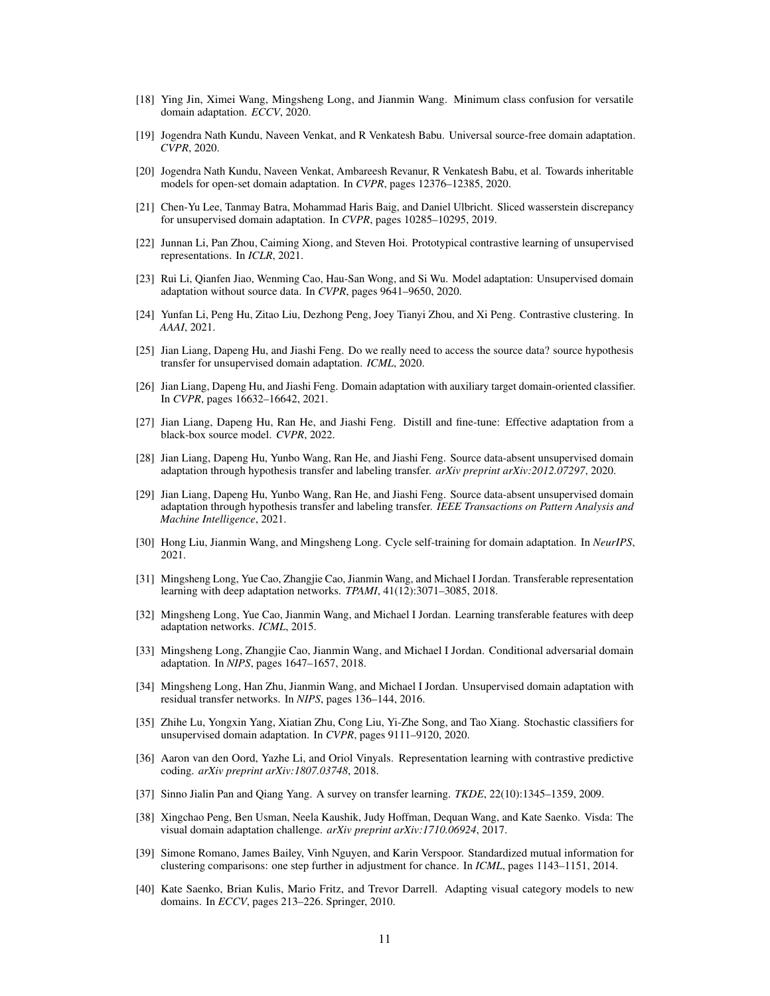- <span id="page-10-21"></span>[18] Ying Jin, Ximei Wang, Mingsheng Long, and Jianmin Wang. Minimum class confusion for versatile domain adaptation. *ECCV*, 2020.
- <span id="page-10-13"></span>[19] Jogendra Nath Kundu, Naveen Venkat, and R Venkatesh Babu. Universal source-free domain adaptation. *CVPR*, 2020.
- <span id="page-10-14"></span>[20] Jogendra Nath Kundu, Naveen Venkat, Ambareesh Revanur, R Venkatesh Babu, et al. Towards inheritable models for open-set domain adaptation. In *CVPR*, pages 12376–12385, 2020.
- <span id="page-10-11"></span>[21] Chen-Yu Lee, Tanmay Batra, Mohammad Haris Baig, and Daniel Ulbricht. Sliced wasserstein discrepancy for unsupervised domain adaptation. In *CVPR*, pages 10285–10295, 2019.
- <span id="page-10-17"></span>[22] Junnan Li, Pan Zhou, Caiming Xiong, and Steven Hoi. Prototypical contrastive learning of unsupervised representations. In *ICLR*, 2021.
- <span id="page-10-6"></span>[23] Rui Li, Qianfen Jiao, Wenming Cao, Hau-San Wong, and Si Wu. Model adaptation: Unsupervised domain adaptation without source data. In *CVPR*, pages 9641–9650, 2020.
- <span id="page-10-15"></span>[24] Yunfan Li, Peng Hu, Zitao Liu, Dezhong Peng, Joey Tianyi Zhou, and Xi Peng. Contrastive clustering. In *AAAI*, 2021.
- <span id="page-10-8"></span>[25] Jian Liang, Dapeng Hu, and Jiashi Feng. Do we really need to access the source data? source hypothesis transfer for unsupervised domain adaptation. *ICML*, 2020.
- <span id="page-10-5"></span>[26] Jian Liang, Dapeng Hu, and Jiashi Feng. Domain adaptation with auxiliary target domain-oriented classifier. In *CVPR*, pages 16632–16642, 2021.
- <span id="page-10-9"></span>[27] Jian Liang, Dapeng Hu, Ran He, and Jiashi Feng. Distill and fine-tune: Effective adaptation from a black-box source model. *CVPR*, 2022.
- <span id="page-10-7"></span>[28] Jian Liang, Dapeng Hu, Yunbo Wang, Ran He, and Jiashi Feng. Source data-absent unsupervised domain adaptation through hypothesis transfer and labeling transfer. *arXiv preprint arXiv:2012.07297*, 2020.
- <span id="page-10-22"></span>[29] Jian Liang, Dapeng Hu, Yunbo Wang, Ran He, and Jiashi Feng. Source data-absent unsupervised domain adaptation through hypothesis transfer and labeling transfer. *IEEE Transactions on Pattern Analysis and Machine Intelligence*, 2021.
- <span id="page-10-12"></span>[30] Hong Liu, Jianmin Wang, and Mingsheng Long. Cycle self-training for domain adaptation. In *NeurIPS*, 2021.
- <span id="page-10-1"></span>[31] Mingsheng Long, Yue Cao, Zhangjie Cao, Jianmin Wang, and Michael I Jordan. Transferable representation learning with deep adaptation networks. *TPAMI*, 41(12):3071–3085, 2018.
- <span id="page-10-2"></span>[32] Mingsheng Long, Yue Cao, Jianmin Wang, and Michael I Jordan. Learning transferable features with deep adaptation networks. *ICML*, 2015.
- <span id="page-10-10"></span>[33] Mingsheng Long, Zhangjie Cao, Jianmin Wang, and Michael I Jordan. Conditional adversarial domain adaptation. In *NIPS*, pages 1647–1657, 2018.
- <span id="page-10-3"></span>[34] Mingsheng Long, Han Zhu, Jianmin Wang, and Michael I Jordan. Unsupervised domain adaptation with residual transfer networks. In *NIPS*, pages 136–144, 2016.
- <span id="page-10-4"></span>[35] Zhihe Lu, Yongxin Yang, Xiatian Zhu, Cong Liu, Yi-Zhe Song, and Tao Xiang. Stochastic classifiers for unsupervised domain adaptation. In *CVPR*, pages 9111–9120, 2020.
- <span id="page-10-16"></span>[36] Aaron van den Oord, Yazhe Li, and Oriol Vinyals. Representation learning with contrastive predictive coding. *arXiv preprint arXiv:1807.03748*, 2018.
- <span id="page-10-0"></span>[37] Sinno Jialin Pan and Qiang Yang. A survey on transfer learning. *TKDE*, 22(10):1345–1359, 2009.
- <span id="page-10-20"></span>[38] Xingchao Peng, Ben Usman, Neela Kaushik, Judy Hoffman, Dequan Wang, and Kate Saenko. Visda: The visual domain adaptation challenge. *arXiv preprint arXiv:1710.06924*, 2017.
- <span id="page-10-18"></span>[39] Simone Romano, James Bailey, Vinh Nguyen, and Karin Verspoor. Standardized mutual information for clustering comparisons: one step further in adjustment for chance. In *ICML*, pages 1143–1151, 2014.
- <span id="page-10-19"></span>[40] Kate Saenko, Brian Kulis, Mario Fritz, and Trevor Darrell. Adapting visual category models to new domains. In *ECCV*, pages 213–226. Springer, 2010.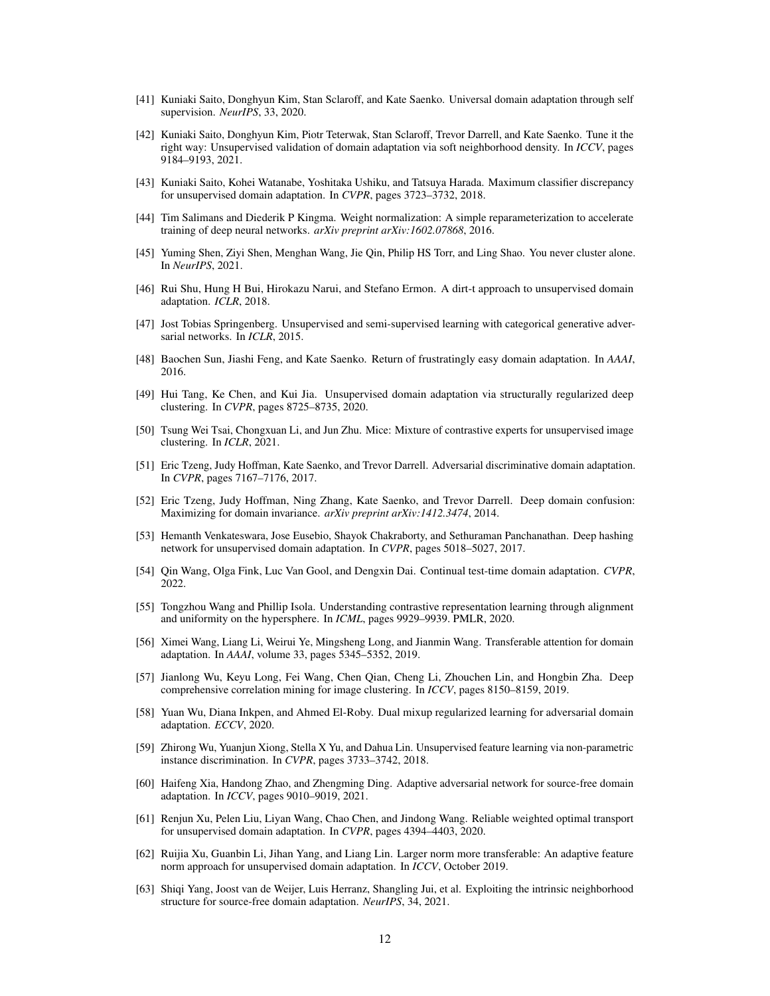- <span id="page-11-13"></span>[41] Kuniaki Saito, Donghyun Kim, Stan Sclaroff, and Kate Saenko. Universal domain adaptation through self supervision. *NeurIPS*, 33, 2020.
- <span id="page-11-14"></span>[42] Kuniaki Saito, Donghyun Kim, Piotr Teterwak, Stan Sclaroff, Trevor Darrell, and Kate Saenko. Tune it the right way: Unsupervised validation of domain adaptation via soft neighborhood density. In *ICCV*, pages 9184–9193, 2021.
- <span id="page-11-8"></span>[43] Kuniaki Saito, Kohei Watanabe, Yoshitaka Ushiku, and Tatsuya Harada. Maximum classifier discrepancy for unsupervised domain adaptation. In *CVPR*, pages 3723–3732, 2018.
- <span id="page-11-21"></span>[44] Tim Salimans and Diederik P Kingma. Weight normalization: A simple reparameterization to accelerate training of deep neural networks. *arXiv preprint arXiv:1602.07868*, 2016.
- <span id="page-11-12"></span>[45] Yuming Shen, Ziyi Shen, Menghan Wang, Jie Qin, Philip HS Torr, and Ling Shao. You never cluster alone. In *NeurIPS*, 2021.
- <span id="page-11-7"></span>[46] Rui Shu, Hung H Bui, Hirokazu Narui, and Stefano Ermon. A dirt-t approach to unsupervised domain adaptation. *ICLR*, 2018.
- <span id="page-11-15"></span>[47] Jost Tobias Springenberg. Unsupervised and semi-supervised learning with categorical generative adversarial networks. In *ICLR*, 2015.
- <span id="page-11-5"></span>[48] Baochen Sun, Jiashi Feng, and Kate Saenko. Return of frustratingly easy domain adaptation. In *AAAI*, 2016.
- <span id="page-11-1"></span>[49] Hui Tang, Ke Chen, and Kui Jia. Unsupervised domain adaptation via structurally regularized deep clustering. In *CVPR*, pages 8725–8735, 2020.
- <span id="page-11-11"></span>[50] Tsung Wei Tsai, Chongxuan Li, and Jun Zhu. Mice: Mixture of contrastive experts for unsupervised image clustering. In *ICLR*, 2021.
- <span id="page-11-0"></span>[51] Eric Tzeng, Judy Hoffman, Kate Saenko, and Trevor Darrell. Adversarial discriminative domain adaptation. In *CVPR*, pages 7167–7176, 2017.
- <span id="page-11-6"></span>[52] Eric Tzeng, Judy Hoffman, Ning Zhang, Kate Saenko, and Trevor Darrell. Deep domain confusion: Maximizing for domain invariance. *arXiv preprint arXiv:1412.3474*, 2014.
- <span id="page-11-17"></span>[53] Hemanth Venkateswara, Jose Eusebio, Shayok Chakraborty, and Sethuraman Panchanathan. Deep hashing network for unsupervised domain adaptation. In *CVPR*, pages 5018–5027, 2017.
- <span id="page-11-3"></span>[54] Qin Wang, Olga Fink, Luc Van Gool, and Dengxin Dai. Continual test-time domain adaptation. *CVPR*, 2022.
- <span id="page-11-16"></span>[55] Tongzhou Wang and Phillip Isola. Understanding contrastive representation learning through alignment and uniformity on the hypersphere. In *ICML*, pages 9929–9939. PMLR, 2020.
- <span id="page-11-19"></span>[56] Ximei Wang, Liang Li, Weirui Ye, Mingsheng Long, and Jianmin Wang. Transferable attention for domain adaptation. In *AAAI*, volume 33, pages 5345–5352, 2019.
- <span id="page-11-10"></span>[57] Jianlong Wu, Keyu Long, Fei Wang, Chen Qian, Cheng Li, Zhouchen Lin, and Hongbin Zha. Deep comprehensive correlation mining for image clustering. In *ICCV*, pages 8150–8159, 2019.
- <span id="page-11-22"></span>[58] Yuan Wu, Diana Inkpen, and Ahmed El-Roby. Dual mixup regularized learning for adversarial domain adaptation. *ECCV*, 2020.
- <span id="page-11-9"></span>[59] Zhirong Wu, Yuanjun Xiong, Stella X Yu, and Dahua Lin. Unsupervised feature learning via non-parametric instance discrimination. In *CVPR*, pages 3733–3742, 2018.
- <span id="page-11-4"></span>[60] Haifeng Xia, Handong Zhao, and Zhengming Ding. Adaptive adversarial network for source-free domain adaptation. In *ICCV*, pages 9010–9019, 2021.
- <span id="page-11-20"></span>[61] Renjun Xu, Pelen Liu, Liyan Wang, Chao Chen, and Jindong Wang. Reliable weighted optimal transport for unsupervised domain adaptation. In *CVPR*, pages 4394–4403, 2020.
- <span id="page-11-18"></span>[62] Ruijia Xu, Guanbin Li, Jihan Yang, and Liang Lin. Larger norm more transferable: An adaptive feature norm approach for unsupervised domain adaptation. In *ICCV*, October 2019.
- <span id="page-11-2"></span>[63] Shiqi Yang, Joost van de Weijer, Luis Herranz, Shangling Jui, et al. Exploiting the intrinsic neighborhood structure for source-free domain adaptation. *NeurIPS*, 34, 2021.